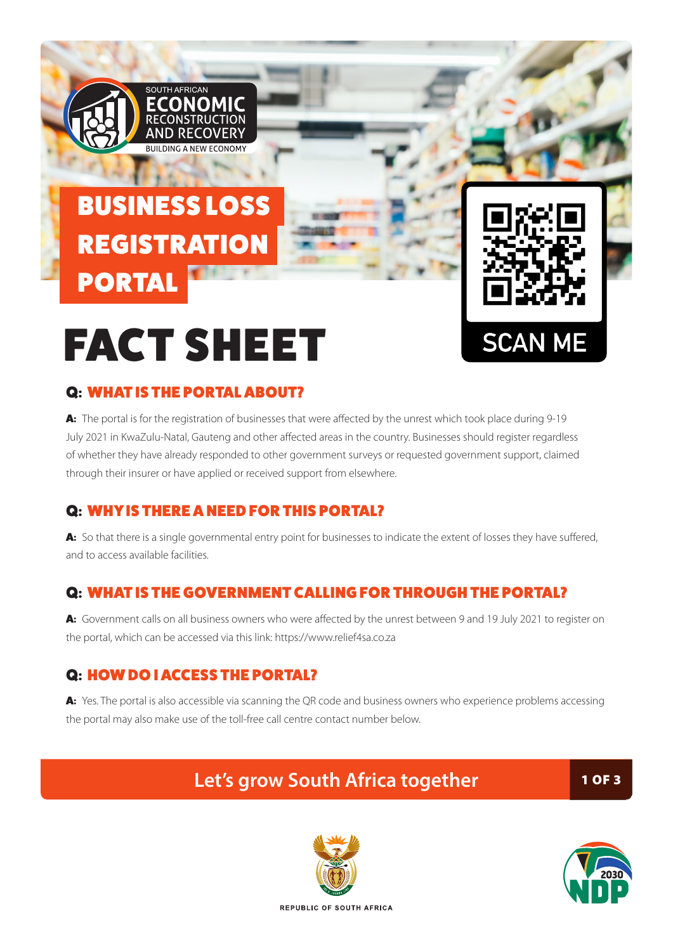### BUSINESS LOSS **REGISTRATION** PORTAL

SOUTH AFRICAN

ECONOMIC **ONSTRUCTION** AND RECOVER' **PULLANCA NEW ECONOMY** 



# FACT SHEET

#### Q: WHAT IS THE PORTAL ABOUT?

A: The portal is for the registration of businesses that were affected by the unrest which took place during 9-19 July 2021 in KwaZulu-Natal, Gauteng and other affected areas in the country. Businesses should register regardless of whether they have already responded to other government surveys or requested government support, claimed through their insurer or have applied or received support from elsewhere.

#### Q: WHY IS THERE A NEED FOR THIS PORTAL?

A: So that there is a single governmental entry point for businesses to indicate the extent of losses they have suffered, and to access available facilities.

#### Q: WHAT IS THE GOVERNMENT CALLING FOR THROUGH THE PORTAL?

A: Government calls on all business owners who were affected by the unrest between 9 and 19 July 2021 to register on the portal, which can be accessed via this link: https://www.relief4sa.co.za

#### Q: HOW DO I ACCESS THE PORTAL?

A: Yes. The portal is also accessible via scanning the QR code and business owners who experience problems accessing the portal may also make use of the toll-free call centre contact number below.

### **Let's grow South Africa together** 1 OF 3



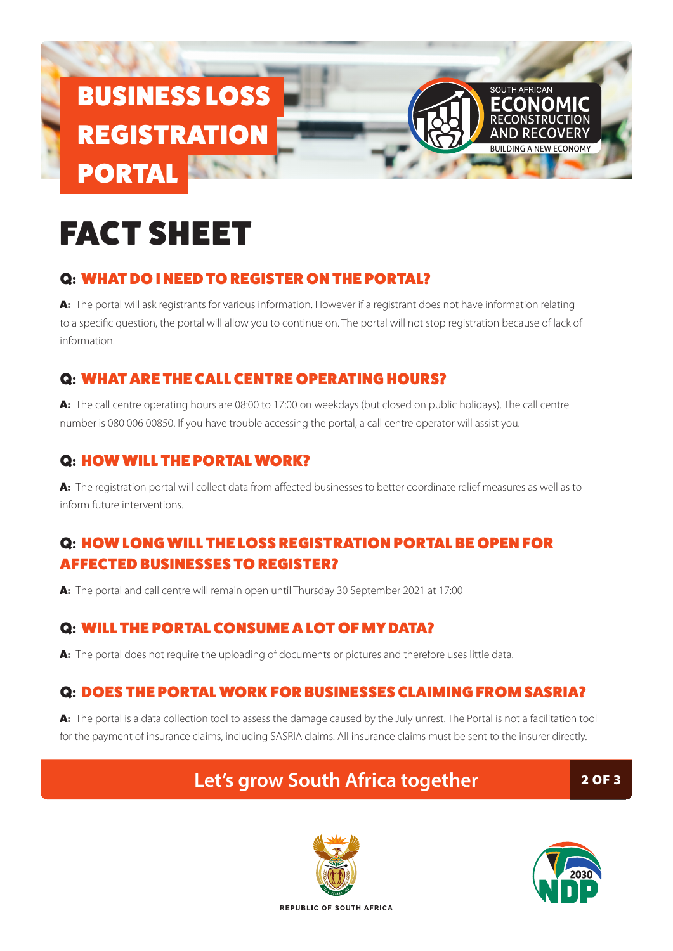## BUSINESS LOSS **REGISTRATION** PORTAL

# FACT SHEET

#### Q: WHAT DO I NEED TO REGISTER ON THE PORTAL?

A: The portal will ask registrants for various information. However if a registrant does not have information relating to a specific question, the portal will allow you to continue on. The portal will not stop registration because of lack of information.

#### Q: WHAT ARE THE CALL CENTRE OPERATING HOURS?

A: The call centre operating hours are 08:00 to 17:00 on weekdays (but closed on public holidays). The call centre number is 080 006 00850. If you have trouble accessing the portal, a call centre operator will assist you.

#### Q: HOW WILL THE PORTAL WORK?

A: The registration portal will collect data from affected businesses to better coordinate relief measures as well as to inform future interventions.

#### Q: HOW LONG WILL THE LOSS REGISTRATION PORTAL BE OPEN FOR AFFECTED BUSINESSES TO REGISTER?

A: The portal and call centre will remain open until Thursday 30 September 2021 at 17:00

#### Q: WILL THE PORTAL CONSUME A LOT OF MY DATA?

A: The portal does not require the uploading of documents or pictures and therefore uses little data.

#### Q: DOES THE PORTAL WORK FOR BUSINESSES CLAIMING FROM SASRIA?

A: The portal is a data collection tool to assess the damage caused by the July unrest. The Portal is not a facilitation tool for the payment of insurance claims, including SASRIA claims. All insurance claims must be sent to the insurer directly.

### Let's grow South Africa together **2 OF 3**





SOUTH AFRICAN

**FCONOMIC**